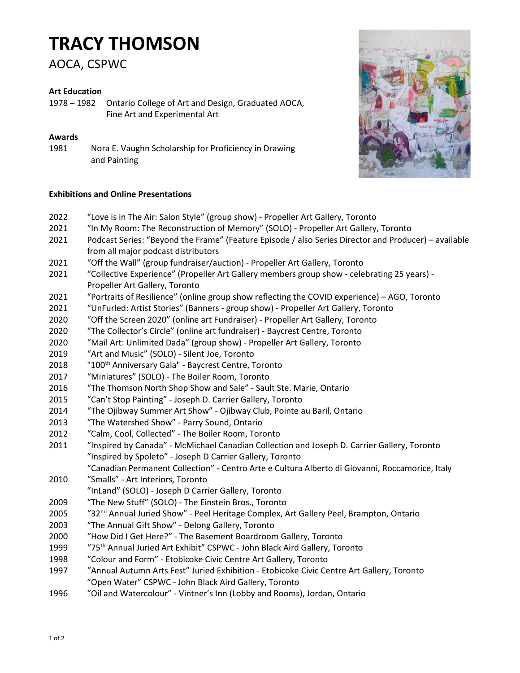# TRACY THOMSON

AOCA, CSPWC

## Art Education

1978 – 1982 Ontario College of Art and Design, Graduated AOCA, Fine Art and Experimental Art

### Awards

1981 Nora E. Vaughn Scholarship for Proficiency in Drawing and Painting

### Exhibitions and Online Presentations

- 2022 "Love is in The Air: Salon Style" (group show) Propeller Art Gallery, Toronto
- 2021 "In My Room: The Reconstruction of Memory" (SOLO) Propeller Art Gallery, Toronto
- 2021 Podcast Series: "Beyond the Frame" (Feature Episode / also Series Director and Producer) available from all major podcast distributors
- 2021 "Off the Wall" (group fundraiser/auction) Propeller Art Gallery, Toronto
- 2021 "Collective Experience" (Propeller Art Gallery members group show celebrating 25 years) Propeller Art Gallery, Toronto
- 2021 "Portraits of Resilience" (online group show reflecting the COVID experience) AGO, Toronto
- 2021 "UnFurled: Artist Stories" (Banners group show) Propeller Art Gallery, Toronto
- 2020 "Off the Screen 2020" (online art Fundraiser) Propeller Art Gallery, Toronto
- 2020 "The Collector's Circle" (online art fundraiser) Baycrest Centre, Toronto
- 2020 "Mail Art: Unlimited Dada" (group show) Propeller Art Gallery, Toronto
- 2019 "Art and Music" (SOLO) Silent Joe, Toronto
- 2018 "100<sup>th</sup> Anniversary Gala" Baycrest Centre, Toronto
- 2017 "Miniatures" (SOLO) The Boiler Room, Toronto
- 2016 "The Thomson North Shop Show and Sale" Sault Ste. Marie, Ontario
- 2015 "Can't Stop Painting" Joseph D. Carrier Gallery, Toronto
- 2014 "The Ojibway Summer Art Show" Ojibway Club, Pointe au Baril, Ontario
- 2013 "The Watershed Show" Parry Sound, Ontario
- 2012 "Calm, Cool, Collected" The Boiler Room, Toronto
- 2011 "Inspired by Canada" McMichael Canadian Collection and Joseph D. Carrier Gallery, Toronto "Inspired by Spoleto" - Joseph D Carrier Gallery, Toronto "Canadian Permanent Collection" - Centro Arte e Cultura Alberto di Giovanni, Roccamorice, Italy
- 2010 "Smalls" Art Interiors, Toronto "InLand" (SOLO) - Joseph D Carrier Gallery, Toronto
- 2009 "The New Stuff" (SOLO) The Einstein Bros., Toronto
- 
- 2005 "32<sup>nd</sup> Annual Juried Show" Peel Heritage Complex, Art Gallery Peel, Brampton, Ontario
- 2003 "The Annual Gift Show" Delong Gallery, Toronto
- 2000 "How Did I Get Here?" The Basement Boardroom Gallery, Toronto
- 1999 "75th Annual Juried Art Exhibit" CSPWC John Black Aird Gallery, Toronto
- 1998 "Colour and Form" Etobicoke Civic Centre Art Gallery, Toronto
- 1997 "Annual Autumn Arts Fest" Juried Exhibition Etobicoke Civic Centre Art Gallery, Toronto "Open Water" CSPWC - John Black Aird Gallery, Toronto
- 1996 "Oil and Watercolour" Vintner's Inn (Lobby and Rooms), Jordan, Ontario